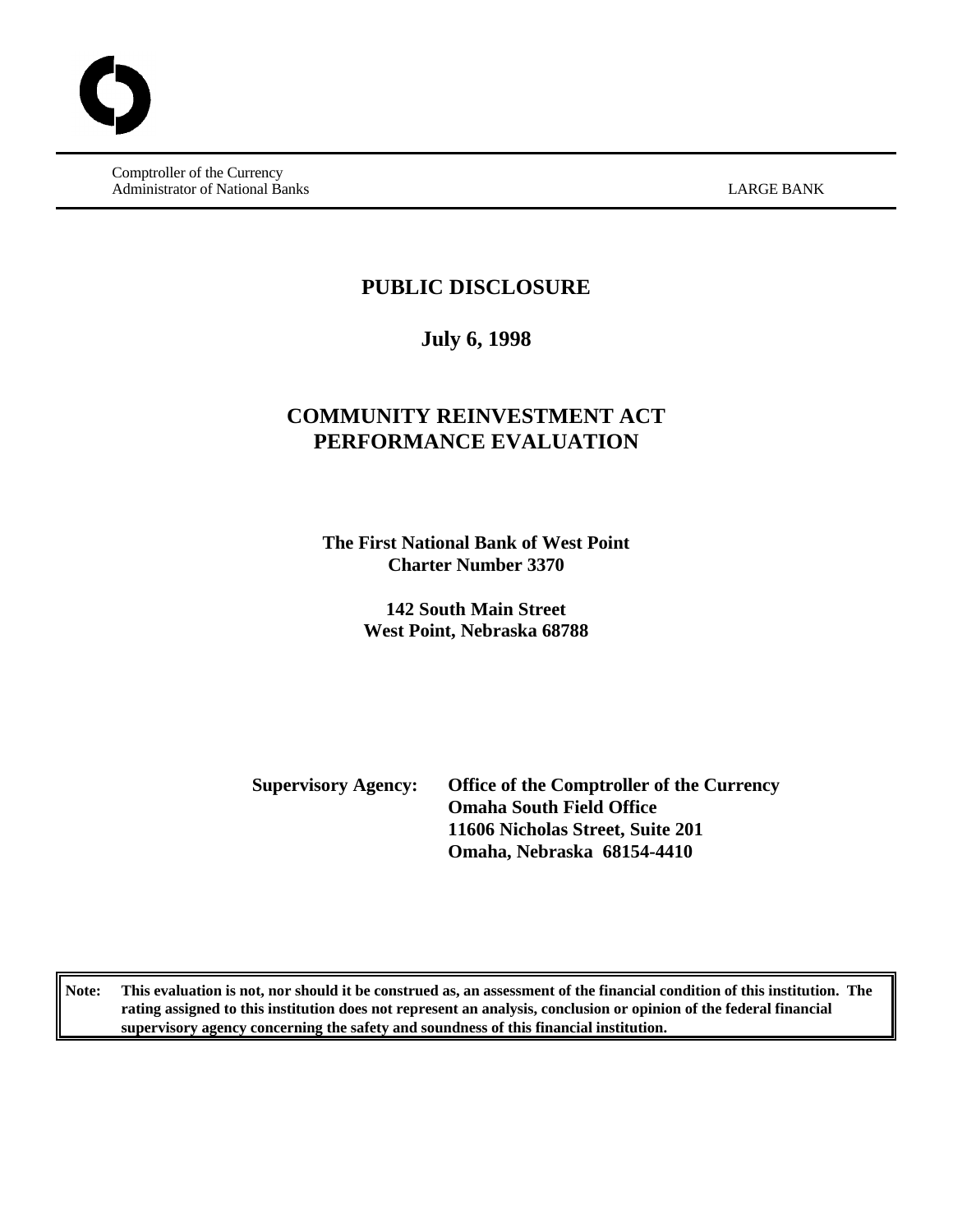Comptroller of the Currency Administrator of National Banks LARGE BANK

### **PUBLIC DISCLOSURE**

### **July 6, 1998**

## **COMMUNITY REINVESTMENT ACT PERFORMANCE EVALUATION**

**The First National Bank of West Point Charter Number 3370**

> **142 South Main Street West Point, Nebraska 68788**

**Supervisory Agency: Office of the Comptroller of the Currency Omaha South Field Office 11606 Nicholas Street, Suite 201 Omaha, Nebraska 68154-4410**

**Note: This evaluation is not, nor should it be construed as, an assessment of the financial condition of this institution. The rating assigned to this institution does not represent an analysis, conclusion or opinion of the federal financial supervisory agency concerning the safety and soundness of this financial institution.**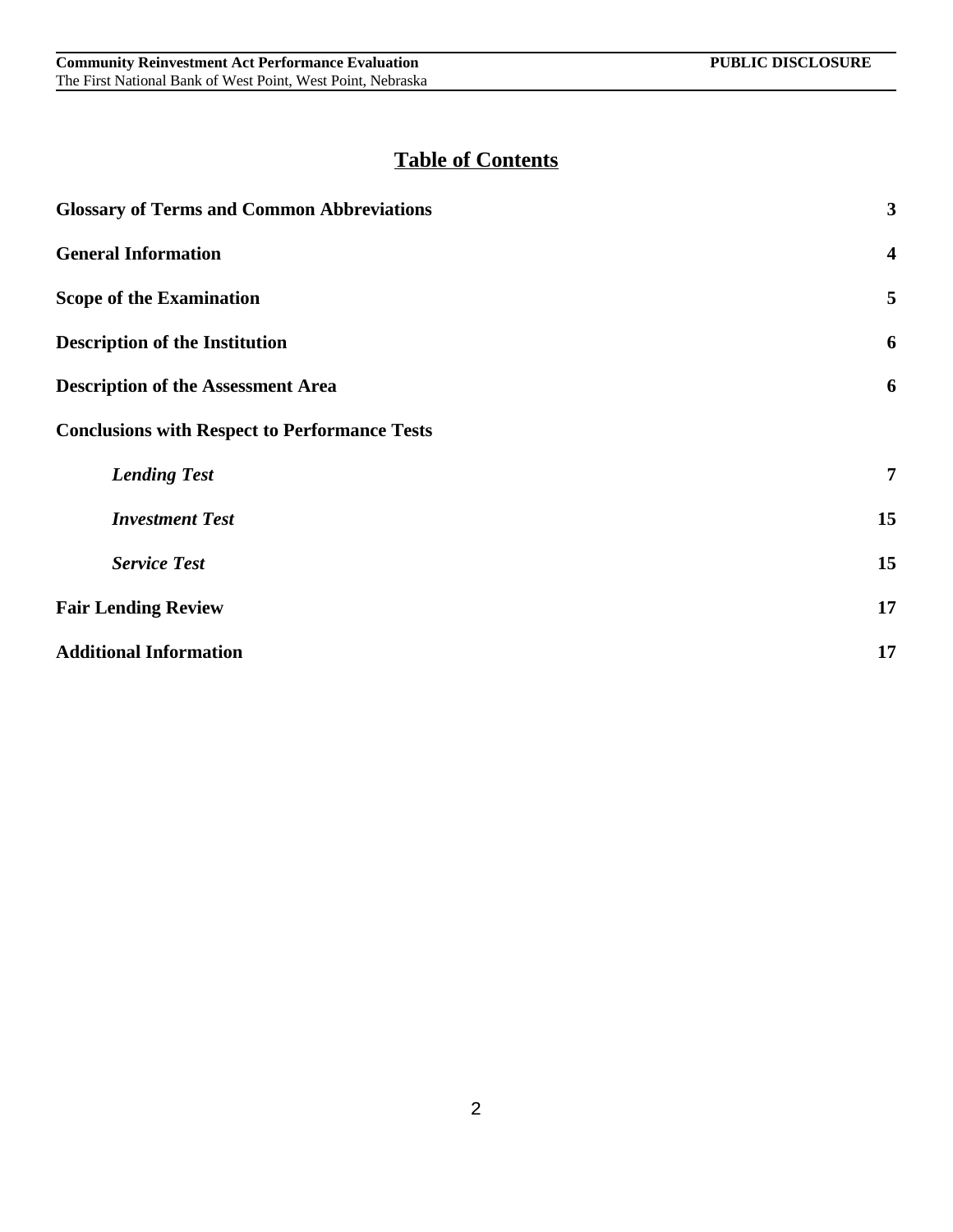# **Table of Contents**

| <b>Glossary of Terms and Common Abbreviations</b>    | 3                       |
|------------------------------------------------------|-------------------------|
| <b>General Information</b>                           | $\overline{\mathbf{4}}$ |
| <b>Scope of the Examination</b>                      | 5                       |
| <b>Description of the Institution</b>                | 6                       |
| <b>Description of the Assessment Area</b>            | 6                       |
| <b>Conclusions with Respect to Performance Tests</b> |                         |
| <b>Lending Test</b>                                  | 7                       |
| <b>Investment Test</b>                               | 15                      |
| <b>Service Test</b>                                  | 15                      |
| <b>Fair Lending Review</b>                           | 17                      |
| <b>Additional Information</b>                        | 17                      |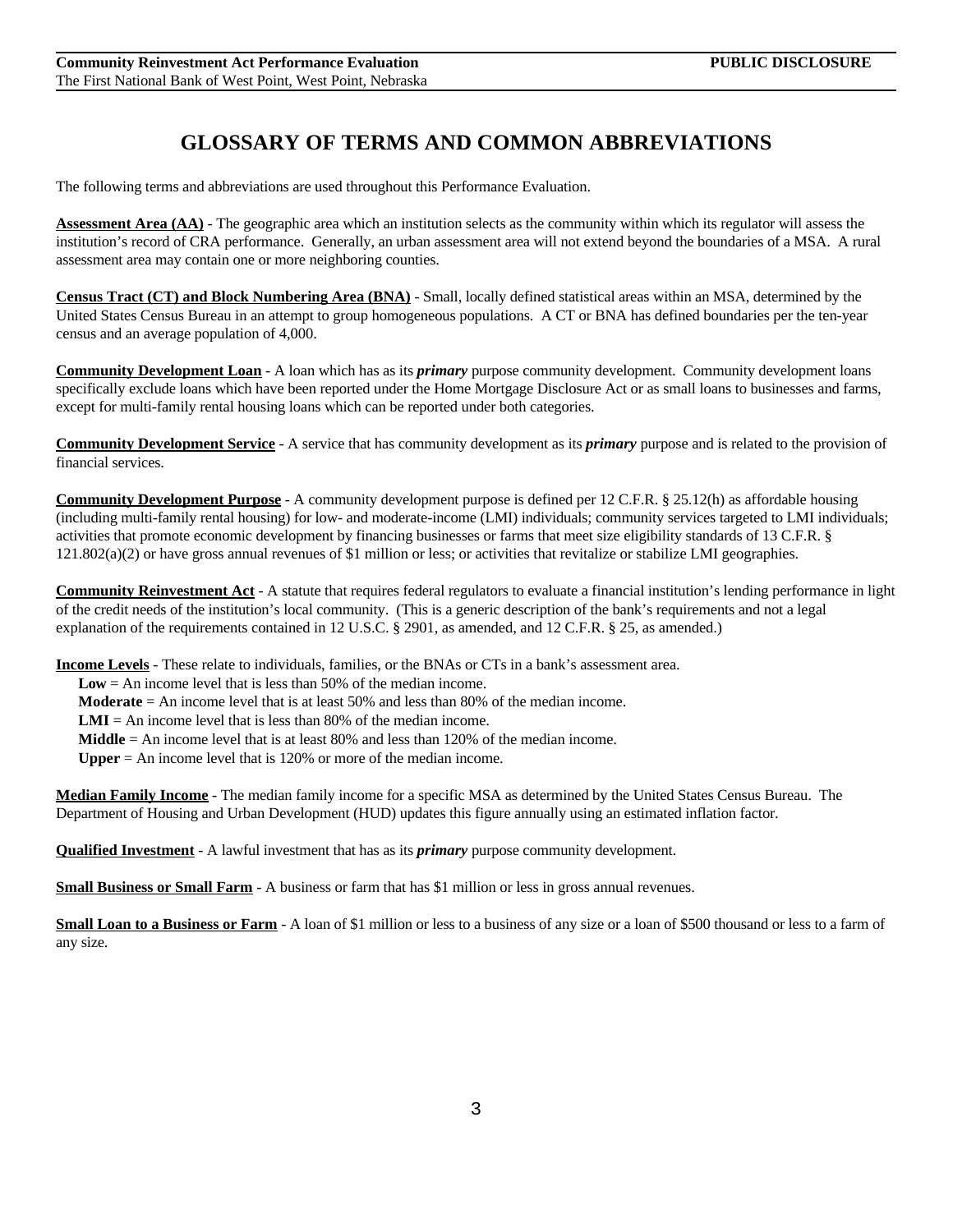## **GLOSSARY OF TERMS AND COMMON ABBREVIATIONS**

The following terms and abbreviations are used throughout this Performance Evaluation.

**Assessment Area (AA)** - The geographic area which an institution selects as the community within which its regulator will assess the institution's record of CRA performance. Generally, an urban assessment area will not extend beyond the boundaries of a MSA. A rural assessment area may contain one or more neighboring counties.

**Census Tract (CT) and Block Numbering Area (BNA)** - Small, locally defined statistical areas within an MSA, determined by the United States Census Bureau in an attempt to group homogeneous populations. A CT or BNA has defined boundaries per the ten-year census and an average population of 4,000.

**Community Development Loan** - A loan which has as its *primary* purpose community development. Community development loans specifically exclude loans which have been reported under the Home Mortgage Disclosure Act or as small loans to businesses and farms, except for multi-family rental housing loans which can be reported under both categories.

**Community Development Service** - A service that has community development as its *primary* purpose and is related to the provision of financial services.

**Community Development Purpose** - A community development purpose is defined per 12 C.F.R. § 25.12(h) as affordable housing (including multi-family rental housing) for low- and moderate-income (LMI) individuals; community services targeted to LMI individuals; activities that promote economic development by financing businesses or farms that meet size eligibility standards of 13 C.F.R. §  $121.802(a)(2)$  or have gross annual revenues of \$1 million or less; or activities that revitalize or stabilize LMI geographies.

**Community Reinvestment Act** - A statute that requires federal regulators to evaluate a financial institution's lending performance in light of the credit needs of the institution's local community. (This is a generic description of the bank's requirements and not a legal explanation of the requirements contained in 12 U.S.C. § 2901, as amended, and 12 C.F.R. § 25, as amended.)

**Income Levels** - These relate to individuals, families, or the BNAs or CTs in a bank's assessment area.

**Low** = An income level that is less than 50% of the median income.

**Moderate** = An income level that is at least 50% and less than 80% of the median income.

 $LMI = An$  income level that is less than 80% of the median income.

**Middle** = An income level that is at least  $80\%$  and less than  $120\%$  of the median income.

**Upper** = An income level that is 120% or more of the median income.

**Median Family Income** - The median family income for a specific MSA as determined by the United States Census Bureau. The Department of Housing and Urban Development (HUD) updates this figure annually using an estimated inflation factor.

**Qualified Investment** - A lawful investment that has as its *primary* purpose community development.

**Small Business or Small Farm** - A business or farm that has \$1 million or less in gross annual revenues.

**Small Loan to a Business or Farm** - A loan of \$1 million or less to a business of any size or a loan of \$500 thousand or less to a farm of any size.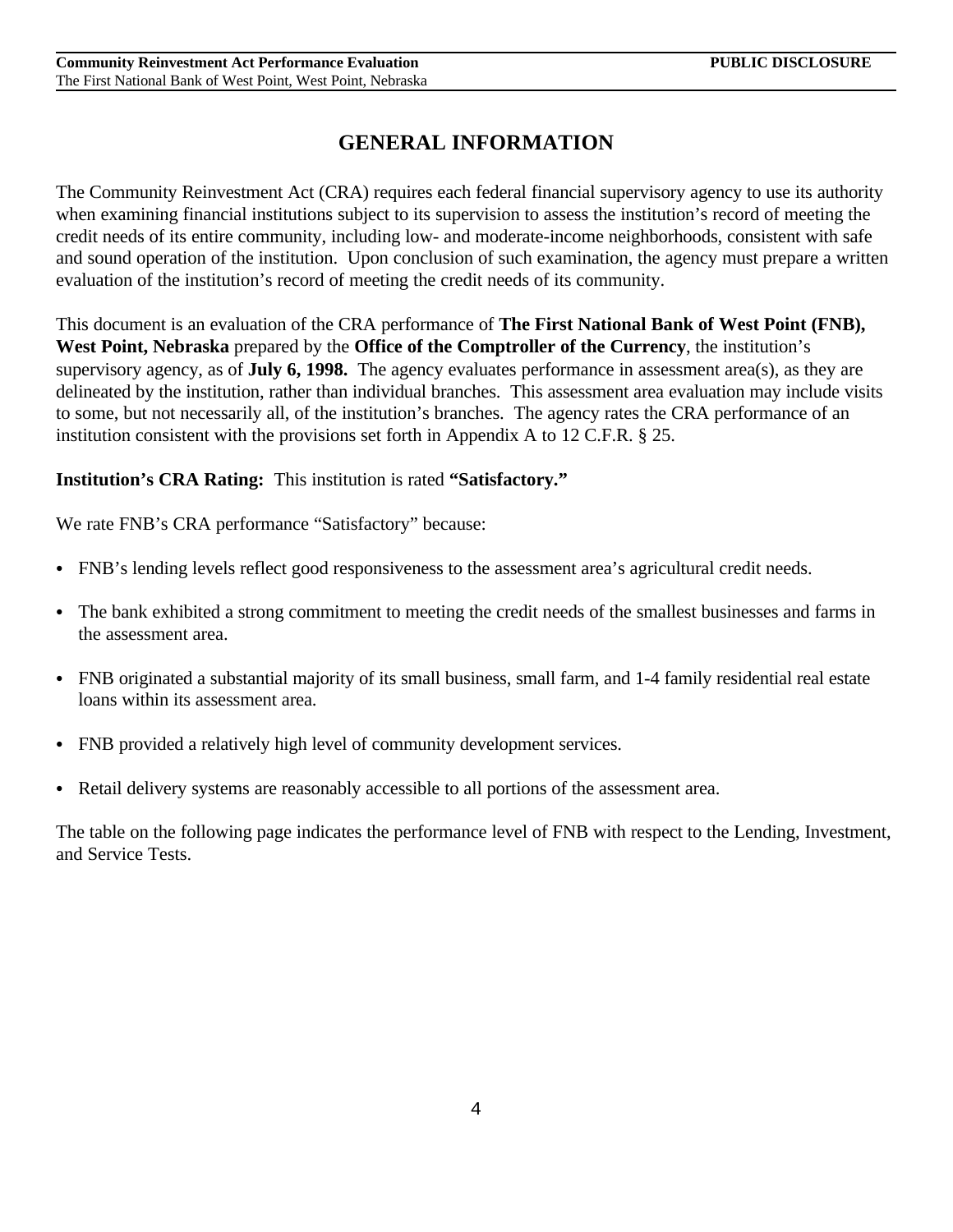## **GENERAL INFORMATION**

The Community Reinvestment Act (CRA) requires each federal financial supervisory agency to use its authority when examining financial institutions subject to its supervision to assess the institution's record of meeting the credit needs of its entire community, including low- and moderate-income neighborhoods, consistent with safe and sound operation of the institution. Upon conclusion of such examination, the agency must prepare a written evaluation of the institution's record of meeting the credit needs of its community.

This document is an evaluation of the CRA performance of **The First National Bank of West Point (FNB), West Point, Nebraska** prepared by the **Office of the Comptroller of the Currency**, the institution's supervisory agency, as of **July 6, 1998.** The agency evaluates performance in assessment area(s), as they are delineated by the institution, rather than individual branches. This assessment area evaluation may include visits to some, but not necessarily all, of the institution's branches. The agency rates the CRA performance of an institution consistent with the provisions set forth in Appendix A to 12 C.F.R. § 25.

### **Institution's CRA Rating:** This institution is rated **"Satisfactory."**

We rate FNB's CRA performance "Satisfactory" because:

- FNB's lending levels reflect good responsiveness to the assessment area's agricultural credit needs.
- The bank exhibited a strong commitment to meeting the credit needs of the smallest businesses and farms in the assessment area.
- FNB originated a substantial majority of its small business, small farm, and 1-4 family residential real estate loans within its assessment area.
- FNB provided a relatively high level of community development services.
- Retail delivery systems are reasonably accessible to all portions of the assessment area.

The table on the following page indicates the performance level of FNB with respect to the Lending, Investment, and Service Tests.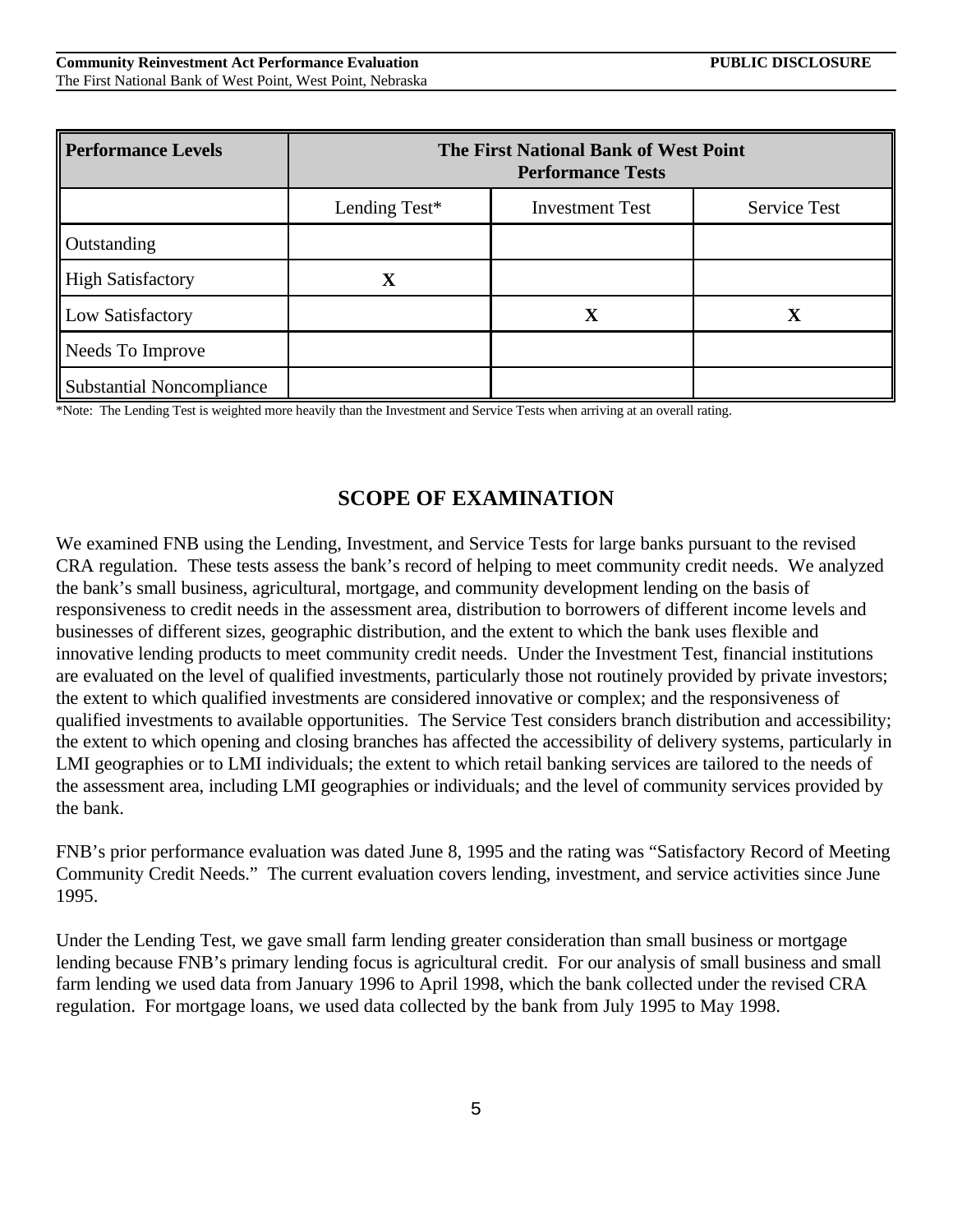| <b>Performance Levels</b>        | The First National Bank of West Point<br><b>Performance Tests</b> |                        |              |  |  |  |  |  |  |
|----------------------------------|-------------------------------------------------------------------|------------------------|--------------|--|--|--|--|--|--|
|                                  | Lending Test*                                                     | <b>Investment Test</b> | Service Test |  |  |  |  |  |  |
| Outstanding                      |                                                                   |                        |              |  |  |  |  |  |  |
| <b>High Satisfactory</b>         | X                                                                 |                        |              |  |  |  |  |  |  |
| Low Satisfactory                 |                                                                   | $\mathbf X$            | $\mathbf X$  |  |  |  |  |  |  |
| Needs To Improve                 |                                                                   |                        |              |  |  |  |  |  |  |
| <b>Substantial Noncompliance</b> |                                                                   |                        |              |  |  |  |  |  |  |

\*Note: The Lending Test is weighted more heavily than the Investment and Service Tests when arriving at an overall rating.

### **SCOPE OF EXAMINATION**

We examined FNB using the Lending, Investment, and Service Tests for large banks pursuant to the revised CRA regulation. These tests assess the bank's record of helping to meet community credit needs. We analyzed the bank's small business, agricultural, mortgage, and community development lending on the basis of responsiveness to credit needs in the assessment area, distribution to borrowers of different income levels and businesses of different sizes, geographic distribution, and the extent to which the bank uses flexible and innovative lending products to meet community credit needs. Under the Investment Test, financial institutions are evaluated on the level of qualified investments, particularly those not routinely provided by private investors; the extent to which qualified investments are considered innovative or complex; and the responsiveness of qualified investments to available opportunities. The Service Test considers branch distribution and accessibility; the extent to which opening and closing branches has affected the accessibility of delivery systems, particularly in LMI geographies or to LMI individuals; the extent to which retail banking services are tailored to the needs of the assessment area, including LMI geographies or individuals; and the level of community services provided by the bank.

FNB's prior performance evaluation was dated June 8, 1995 and the rating was "Satisfactory Record of Meeting Community Credit Needs." The current evaluation covers lending, investment, and service activities since June 1995.

Under the Lending Test, we gave small farm lending greater consideration than small business or mortgage lending because FNB's primary lending focus is agricultural credit. For our analysis of small business and small farm lending we used data from January 1996 to April 1998, which the bank collected under the revised CRA regulation. For mortgage loans, we used data collected by the bank from July 1995 to May 1998.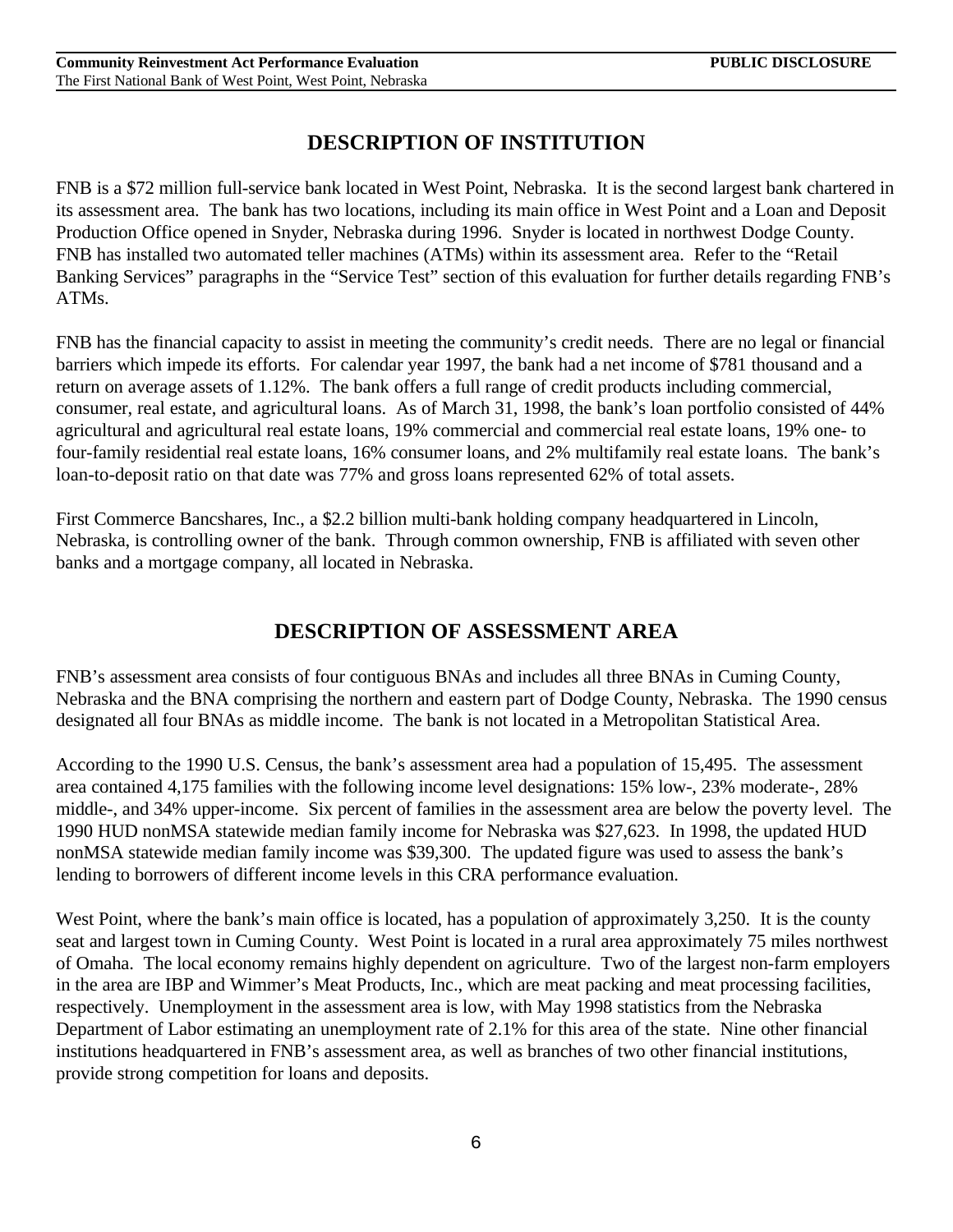## **DESCRIPTION OF INSTITUTION**

FNB is a \$72 million full-service bank located in West Point, Nebraska. It is the second largest bank chartered in its assessment area. The bank has two locations, including its main office in West Point and a Loan and Deposit Production Office opened in Snyder, Nebraska during 1996. Snyder is located in northwest Dodge County. FNB has installed two automated teller machines (ATMs) within its assessment area. Refer to the "Retail Banking Services" paragraphs in the "Service Test" section of this evaluation for further details regarding FNB's ATMs.

FNB has the financial capacity to assist in meeting the community's credit needs. There are no legal or financial barriers which impede its efforts. For calendar year 1997, the bank had a net income of \$781 thousand and a return on average assets of 1.12%. The bank offers a full range of credit products including commercial, consumer, real estate, and agricultural loans. As of March 31, 1998, the bank's loan portfolio consisted of 44% agricultural and agricultural real estate loans, 19% commercial and commercial real estate loans, 19% one- to four-family residential real estate loans, 16% consumer loans, and 2% multifamily real estate loans. The bank's loan-to-deposit ratio on that date was 77% and gross loans represented 62% of total assets.

First Commerce Bancshares, Inc., a \$2.2 billion multi-bank holding company headquartered in Lincoln, Nebraska, is controlling owner of the bank. Through common ownership, FNB is affiliated with seven other banks and a mortgage company, all located in Nebraska.

## **DESCRIPTION OF ASSESSMENT AREA**

FNB's assessment area consists of four contiguous BNAs and includes all three BNAs in Cuming County, Nebraska and the BNA comprising the northern and eastern part of Dodge County, Nebraska. The 1990 census designated all four BNAs as middle income. The bank is not located in a Metropolitan Statistical Area.

According to the 1990 U.S. Census, the bank's assessment area had a population of 15,495. The assessment area contained 4,175 families with the following income level designations: 15% low-, 23% moderate-, 28% middle-, and 34% upper-income. Six percent of families in the assessment area are below the poverty level. The 1990 HUD nonMSA statewide median family income for Nebraska was \$27,623. In 1998, the updated HUD nonMSA statewide median family income was \$39,300. The updated figure was used to assess the bank's lending to borrowers of different income levels in this CRA performance evaluation.

West Point, where the bank's main office is located, has a population of approximately 3,250. It is the county seat and largest town in Cuming County. West Point is located in a rural area approximately 75 miles northwest of Omaha. The local economy remains highly dependent on agriculture. Two of the largest non-farm employers in the area are IBP and Wimmer's Meat Products, Inc., which are meat packing and meat processing facilities, respectively. Unemployment in the assessment area is low, with May 1998 statistics from the Nebraska Department of Labor estimating an unemployment rate of 2.1% for this area of the state. Nine other financial institutions headquartered in FNB's assessment area, as well as branches of two other financial institutions, provide strong competition for loans and deposits.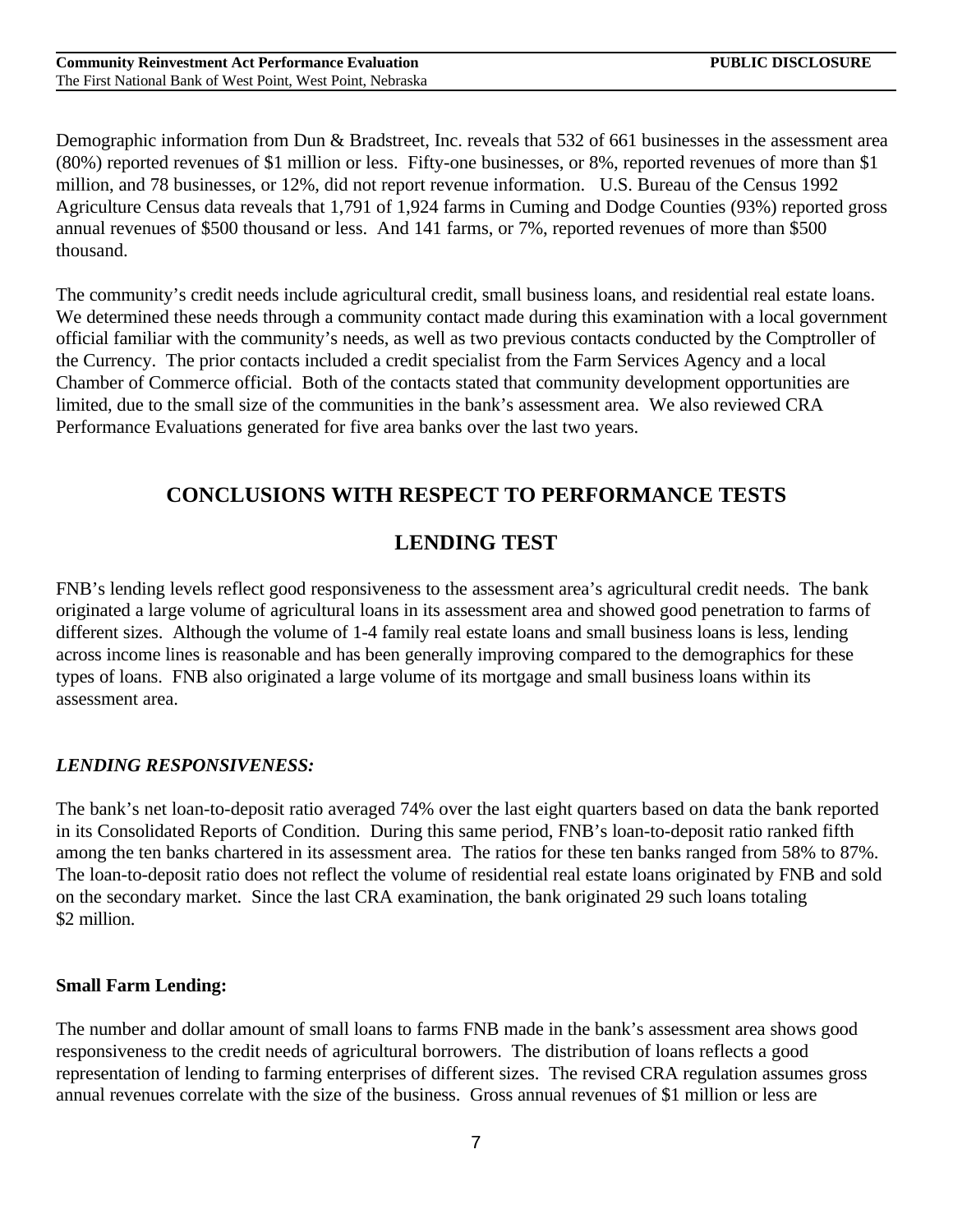Demographic information from Dun & Bradstreet, Inc. reveals that 532 of 661 businesses in the assessment area (80%) reported revenues of \$1 million or less. Fifty-one businesses, or 8%, reported revenues of more than \$1 million, and 78 businesses, or 12%, did not report revenue information. U.S. Bureau of the Census 1992 Agriculture Census data reveals that 1,791 of 1,924 farms in Cuming and Dodge Counties (93%) reported gross annual revenues of \$500 thousand or less. And 141 farms, or 7%, reported revenues of more than \$500 thousand.

The community's credit needs include agricultural credit, small business loans, and residential real estate loans. We determined these needs through a community contact made during this examination with a local government official familiar with the community's needs, as well as two previous contacts conducted by the Comptroller of the Currency. The prior contacts included a credit specialist from the Farm Services Agency and a local Chamber of Commerce official. Both of the contacts stated that community development opportunities are limited, due to the small size of the communities in the bank's assessment area. We also reviewed CRA Performance Evaluations generated for five area banks over the last two years.

## **CONCLUSIONS WITH RESPECT TO PERFORMANCE TESTS**

## **LENDING TEST**

FNB's lending levels reflect good responsiveness to the assessment area's agricultural credit needs. The bank originated a large volume of agricultural loans in its assessment area and showed good penetration to farms of different sizes. Although the volume of 1-4 family real estate loans and small business loans is less, lending across income lines is reasonable and has been generally improving compared to the demographics for these types of loans. FNB also originated a large volume of its mortgage and small business loans within its assessment area.

### *LENDING RESPONSIVENESS:*

The bank's net loan-to-deposit ratio averaged 74% over the last eight quarters based on data the bank reported in its Consolidated Reports of Condition. During this same period, FNB's loan-to-deposit ratio ranked fifth among the ten banks chartered in its assessment area. The ratios for these ten banks ranged from 58% to 87%. The loan-to-deposit ratio does not reflect the volume of residential real estate loans originated by FNB and sold on the secondary market. Since the last CRA examination, the bank originated 29 such loans totaling \$2 million.

### **Small Farm Lending:**

The number and dollar amount of small loans to farms FNB made in the bank's assessment area shows good responsiveness to the credit needs of agricultural borrowers. The distribution of loans reflects a good representation of lending to farming enterprises of different sizes. The revised CRA regulation assumes gross annual revenues correlate with the size of the business. Gross annual revenues of \$1 million or less are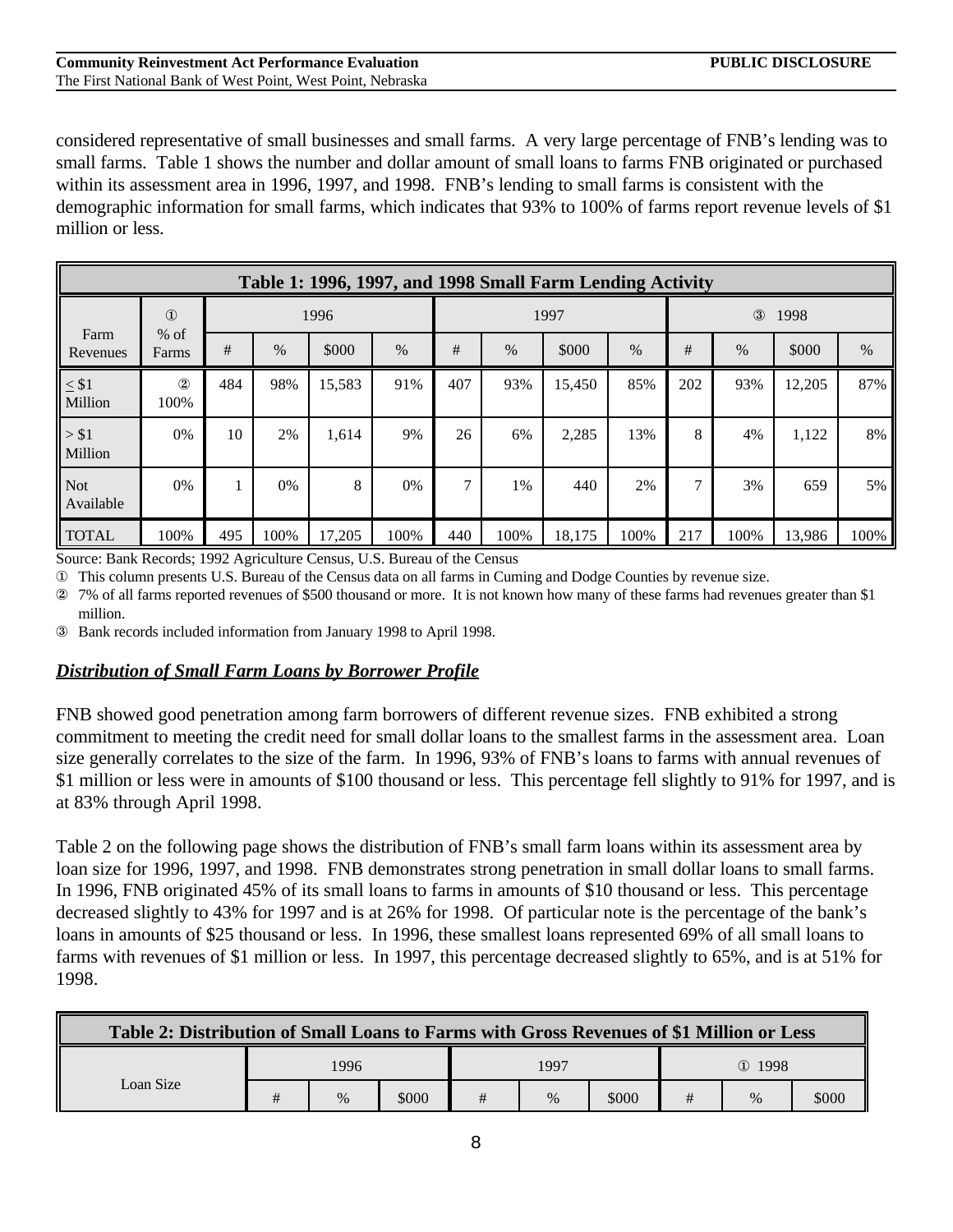considered representative of small businesses and small farms. A very large percentage of FNB's lending was to small farms. Table 1 shows the number and dollar amount of small loans to farms FNB originated or purchased within its assessment area in 1996, 1997, and 1998. FNB's lending to small farms is consistent with the demographic information for small farms, which indicates that 93% to 100% of farms report revenue levels of \$1 million or less.

|                         | Table 1: 1996, 1997, and 1998 Small Farm Lending Activity |      |      |        |      |               |      |        |      |               |                       |        |      |  |
|-------------------------|-----------------------------------------------------------|------|------|--------|------|---------------|------|--------|------|---------------|-----------------------|--------|------|--|
|                         | $\circled{1}$                                             | 1996 |      |        |      |               | 1997 |        |      |               | $\circled{3}$<br>1998 |        |      |  |
| Farm<br>Revenues        | $%$ of<br>Farms                                           | #    | $\%$ | \$000  | $\%$ | #             | $\%$ | \$000  | $\%$ | $\#$          | $\%$                  | \$000  | $\%$ |  |
| $\leq$ \$1<br>Million   | (2)<br>100%                                               | 484  | 98%  | 15,583 | 91%  | 407           | 93%  | 15,450 | 85%  | 202           | 93%                   | 12,205 | 87%  |  |
| > \$1<br>Million        | 0%                                                        | 10   | 2%   | 1,614  | 9%   | 26            | 6%   | 2,285  | 13%  | 8             | 4%                    | 1,122  | 8%   |  |
| <b>Not</b><br>Available | 0%                                                        |      | 0%   | 8      | 0%   | $\mathcal{I}$ | 1%   | 440    | 2%   | $\mathcal{I}$ | 3%                    | 659    | 5%   |  |
| <b>TOTAL</b>            | 100%                                                      | 495  | 100% | 17,205 | 100% | 440           | 100% | 18,175 | 100% | 217           | 100%                  | 13,986 | 100% |  |

Source: Bank Records; 1992 Agriculture Census, U.S. Bureau of the Census

Œ This column presents U.S. Bureau of the Census data on all farms in Cuming and Dodge Counties by revenue size.

œ 7% of all farms reported revenues of \$500 thousand or more. It is not known how many of these farms had revenues greater than \$1 million.

– Bank records included information from January 1998 to April 1998.

#### *Distribution of Small Farm Loans by Borrower Profile*

FNB showed good penetration among farm borrowers of different revenue sizes. FNB exhibited a strong commitment to meeting the credit need for small dollar loans to the smallest farms in the assessment area. Loan size generally correlates to the size of the farm. In 1996, 93% of FNB's loans to farms with annual revenues of \$1 million or less were in amounts of \$100 thousand or less. This percentage fell slightly to 91% for 1997, and is at 83% through April 1998.

Table 2 on the following page shows the distribution of FNB's small farm loans within its assessment area by loan size for 1996, 1997, and 1998. FNB demonstrates strong penetration in small dollar loans to small farms. In 1996, FNB originated 45% of its small loans to farms in amounts of \$10 thousand or less. This percentage decreased slightly to 43% for 1997 and is at 26% for 1998. Of particular note is the percentage of the bank's loans in amounts of \$25 thousand or less. In 1996, these smallest loans represented 69% of all small loans to farms with revenues of \$1 million or less. In 1997, this percentage decreased slightly to 65%, and is at 51% for 1998.

| Table 2: Distribution of Small Loans to Farms with Gross Revenues of \$1 Million or Less |   |      |       |  |      |       |            |      |       |  |  |
|------------------------------------------------------------------------------------------|---|------|-------|--|------|-------|------------|------|-------|--|--|
|                                                                                          |   | 1996 |       |  | 1997 |       | $(D)$ 1998 |      |       |  |  |
| Loan Size                                                                                | # | $\%$ | \$000 |  | $\%$ | \$000 | #          | $\%$ | \$000 |  |  |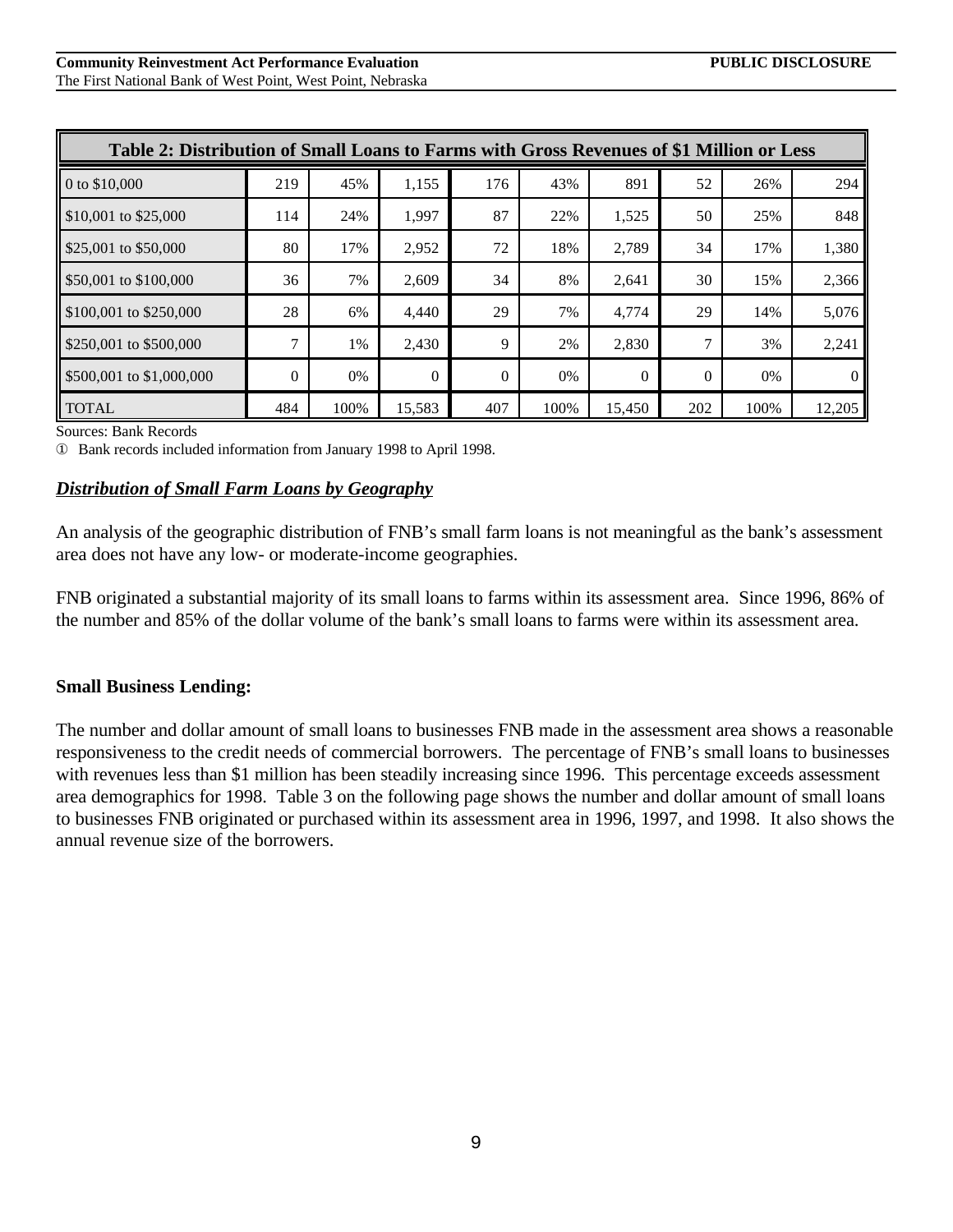| Table 2: Distribution of Small Loans to Farms with Gross Revenues of \$1 Million or Less |              |      |          |          |       |          |          |      |          |  |  |  |  |
|------------------------------------------------------------------------------------------|--------------|------|----------|----------|-------|----------|----------|------|----------|--|--|--|--|
| 0 to \$10,000                                                                            | 219          | 45%  | 1,155    | 176      | 43%   | 891      | 52       | 26%  | 294      |  |  |  |  |
| $$10,001$ to $$25,000$                                                                   | 114          | 24%  | 1,997    | 87       | 22%   | 1,525    | 50       | 25%  | 848      |  |  |  |  |
| \$25,001 to \$50,000                                                                     | 80           | 17%  | 2,952    | 72       | 18%   | 2,789    | 34       | 17%  | 1,380    |  |  |  |  |
| \$50,001 to \$100,000                                                                    | 36           | 7%   | 2.609    | 34       | 8%    | 2,641    | 30       | 15%  | 2,366    |  |  |  |  |
| \$100,001 to \$250,000                                                                   | 28           | 6%   | 4.440    | 29       | 7%    | 4.774    | 29       | 14%  | 5,076    |  |  |  |  |
| \$250,001 to \$500,000                                                                   | $\mathbf{r}$ | 1%   | 2,430    | 9        | 2%    | 2,830    | 7        | 3%   | 2,241    |  |  |  |  |
| \$500,001 to \$1,000,000                                                                 | $\Omega$     | 0%   | $\Omega$ | $\Omega$ | $0\%$ | $\theta$ | $\Omega$ | 0%   | $\theta$ |  |  |  |  |
| <b>TOTAL</b>                                                                             | 484          | 100% | 15,583   | 407      | 100%  | 15,450   | 202      | 100% | 12,205   |  |  |  |  |

Sources: Bank Records

Œ Bank records included information from January 1998 to April 1998.

#### *Distribution of Small Farm Loans by Geography*

An analysis of the geographic distribution of FNB's small farm loans is not meaningful as the bank's assessment area does not have any low- or moderate-income geographies.

FNB originated a substantial majority of its small loans to farms within its assessment area. Since 1996, 86% of the number and 85% of the dollar volume of the bank's small loans to farms were within its assessment area.

#### **Small Business Lending:**

The number and dollar amount of small loans to businesses FNB made in the assessment area shows a reasonable responsiveness to the credit needs of commercial borrowers. The percentage of FNB's small loans to businesses with revenues less than \$1 million has been steadily increasing since 1996. This percentage exceeds assessment area demographics for 1998. Table 3 on the following page shows the number and dollar amount of small loans to businesses FNB originated or purchased within its assessment area in 1996, 1997, and 1998. It also shows the annual revenue size of the borrowers.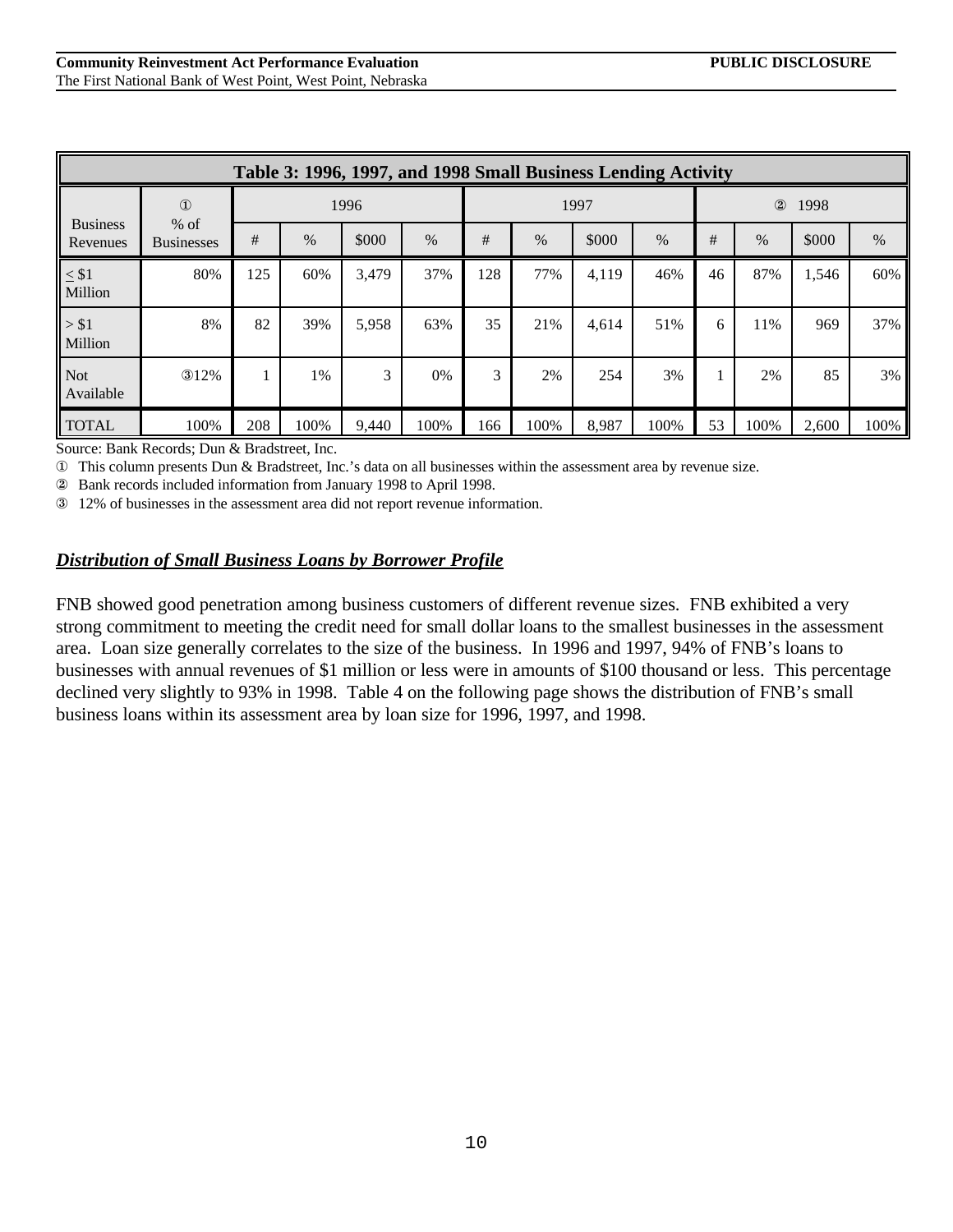|                             | Table 3: 1996, 1997, and 1998 Small Business Lending Activity |      |      |       |      |     |      |       |      |    |                        |       |      |  |
|-----------------------------|---------------------------------------------------------------|------|------|-------|------|-----|------|-------|------|----|------------------------|-------|------|--|
|                             | $\mathbf{D}$                                                  | 1996 |      |       |      |     | 1997 |       |      |    | $^{\circledR}$<br>1998 |       |      |  |
| <b>Business</b><br>Revenues | $%$ of<br><b>Businesses</b>                                   | #    | $\%$ | \$000 | $\%$ | #   | $\%$ | \$000 | $\%$ | #  | $\%$                   | \$000 | $\%$ |  |
| $\leq$ $\$1$<br>Million     | 80%                                                           | 125  | 60%  | 3,479 | 37%  | 128 | 77%  | 4,119 | 46%  | 46 | 87%                    | 1,546 | 60%  |  |
| > \$1<br>Million            | 8%                                                            | 82   | 39%  | 5,958 | 63%  | 35  | 21%  | 4,614 | 51%  | 6  | 11%                    | 969   | 37%  |  |
| <b>Not</b><br>Available     | 312%                                                          |      | 1%   | 3     | 0%   | 3   | 2%   | 254   | 3%   | 1  | 2%                     | 85    | 3%   |  |
| <b>TOTAL</b>                | 100%                                                          | 208  | 100% | 9,440 | 100% | 166 | 100% | 8,987 | 100% | 53 | 100%                   | 2,600 | 100% |  |

Source: Bank Records; Dun & Bradstreet, Inc.

Œ This column presents Dun & Bradstreet, Inc.'s data on all businesses within the assessment area by revenue size.

œ Bank records included information from January 1998 to April 1998.

– 12% of businesses in the assessment area did not report revenue information.

### *Distribution of Small Business Loans by Borrower Profile*

FNB showed good penetration among business customers of different revenue sizes. FNB exhibited a very strong commitment to meeting the credit need for small dollar loans to the smallest businesses in the assessment area. Loan size generally correlates to the size of the business. In 1996 and 1997, 94% of FNB's loans to businesses with annual revenues of \$1 million or less were in amounts of \$100 thousand or less. This percentage declined very slightly to 93% in 1998. Table 4 on the following page shows the distribution of FNB's small business loans within its assessment area by loan size for 1996, 1997, and 1998.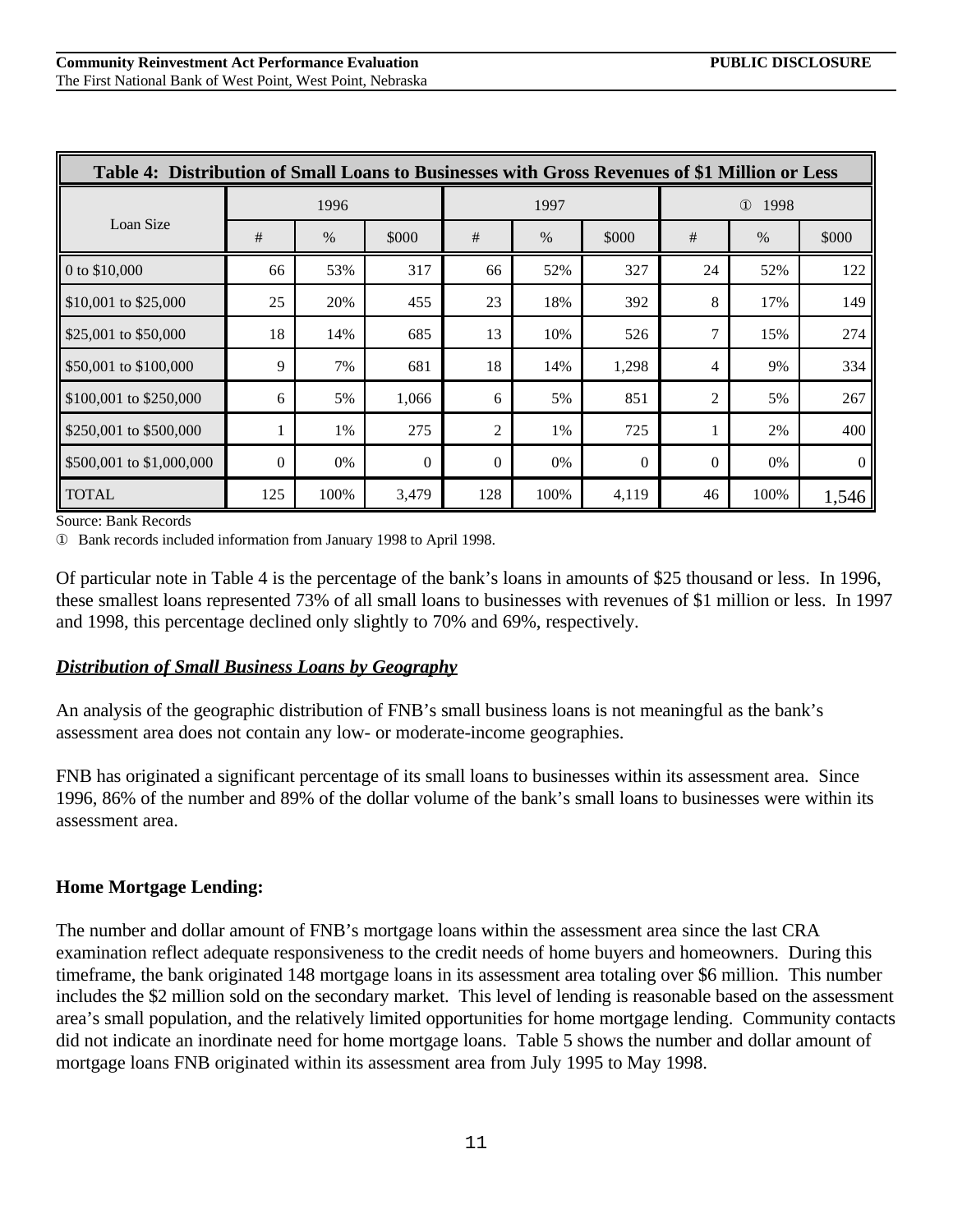| Table 4: Distribution of Small Loans to Businesses with Gross Revenues of \$1 Million or Less |          |      |          |                |       |          |                  |      |                |  |
|-----------------------------------------------------------------------------------------------|----------|------|----------|----------------|-------|----------|------------------|------|----------------|--|
|                                                                                               |          | 1996 |          |                | 1997  |          | 1998<br>$\Omega$ |      |                |  |
| Loan Size                                                                                     | #        | $\%$ | \$000    | $\#$           | $\%$  | \$000    | #                | $\%$ | \$000          |  |
| 0 to \$10,000                                                                                 | 66       | 53%  | 317      | 66             | 52%   | 327      | 24               | 52%  | 122            |  |
| \$10,001 to \$25,000                                                                          | 25       | 20%  | 455      | 23             | 18%   | 392      | 8                | 17%  | 149            |  |
| \$25,001 to \$50,000                                                                          | 18       | 14%  | 685      | 13             | 10%   | 526      | 7                | 15%  | 274            |  |
| \$50,001 to \$100,000                                                                         | 9        | 7%   | 681      | 18             | 14%   | 1,298    | 4                | 9%   | 334            |  |
| \$100,001 to \$250,000                                                                        | 6        | 5%   | 1,066    | 6              | 5%    | 851      | $\overline{c}$   | 5%   | 267            |  |
| \$250,001 to \$500,000                                                                        | 1        | 1%   | 275      | $\mathfrak{2}$ | 1%    | 725      |                  | 2%   | 400            |  |
| \$500,001 to \$1,000,000                                                                      | $\Omega$ | 0%   | $\Omega$ | $\Omega$       | $0\%$ | $\Omega$ | $\theta$         | 0%   | $\overline{0}$ |  |
| <b>TOTAL</b>                                                                                  | 125      | 100% | 3,479    | 128            | 100%  | 4,119    | 46               | 100% | 1,546          |  |

Source: Bank Records

Œ Bank records included information from January 1998 to April 1998.

Of particular note in Table 4 is the percentage of the bank's loans in amounts of \$25 thousand or less. In 1996, these smallest loans represented 73% of all small loans to businesses with revenues of \$1 million or less. In 1997 and 1998, this percentage declined only slightly to 70% and 69%, respectively.

#### *Distribution of Small Business Loans by Geography*

An analysis of the geographic distribution of FNB's small business loans is not meaningful as the bank's assessment area does not contain any low- or moderate-income geographies.

FNB has originated a significant percentage of its small loans to businesses within its assessment area. Since 1996, 86% of the number and 89% of the dollar volume of the bank's small loans to businesses were within its assessment area.

### **Home Mortgage Lending:**

The number and dollar amount of FNB's mortgage loans within the assessment area since the last CRA examination reflect adequate responsiveness to the credit needs of home buyers and homeowners. During this timeframe, the bank originated 148 mortgage loans in its assessment area totaling over \$6 million. This number includes the \$2 million sold on the secondary market. This level of lending is reasonable based on the assessment area's small population, and the relatively limited opportunities for home mortgage lending. Community contacts did not indicate an inordinate need for home mortgage loans. Table 5 shows the number and dollar amount of mortgage loans FNB originated within its assessment area from July 1995 to May 1998.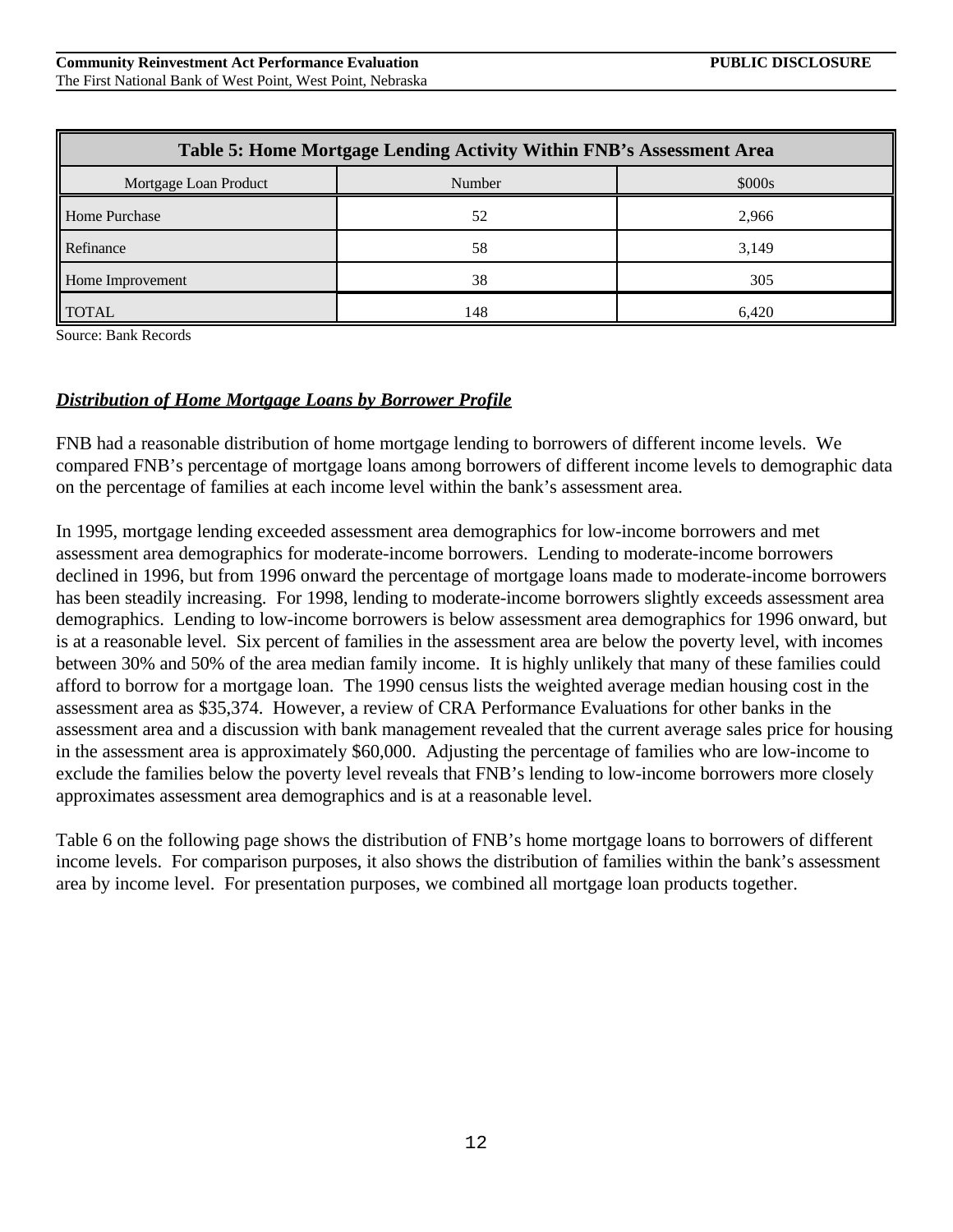| Table 5: Home Mortgage Lending Activity Within FNB's Assessment Area |     |       |  |  |  |  |  |  |  |  |
|----------------------------------------------------------------------|-----|-------|--|--|--|--|--|--|--|--|
| \$000s<br>Mortgage Loan Product<br>Number                            |     |       |  |  |  |  |  |  |  |  |
| Home Purchase                                                        | 52  | 2.966 |  |  |  |  |  |  |  |  |
| Refinance                                                            | 58  | 3,149 |  |  |  |  |  |  |  |  |
| Home Improvement                                                     | 38  | 305   |  |  |  |  |  |  |  |  |
| <b>TOTAL</b>                                                         | 148 | 6.420 |  |  |  |  |  |  |  |  |

Source: Bank Records

#### *Distribution of Home Mortgage Loans by Borrower Profile*

FNB had a reasonable distribution of home mortgage lending to borrowers of different income levels. We compared FNB's percentage of mortgage loans among borrowers of different income levels to demographic data on the percentage of families at each income level within the bank's assessment area.

In 1995, mortgage lending exceeded assessment area demographics for low-income borrowers and met assessment area demographics for moderate-income borrowers. Lending to moderate-income borrowers declined in 1996, but from 1996 onward the percentage of mortgage loans made to moderate-income borrowers has been steadily increasing. For 1998, lending to moderate-income borrowers slightly exceeds assessment area demographics. Lending to low-income borrowers is below assessment area demographics for 1996 onward, but is at a reasonable level. Six percent of families in the assessment area are below the poverty level, with incomes between 30% and 50% of the area median family income. It is highly unlikely that many of these families could afford to borrow for a mortgage loan. The 1990 census lists the weighted average median housing cost in the assessment area as \$35,374. However, a review of CRA Performance Evaluations for other banks in the assessment area and a discussion with bank management revealed that the current average sales price for housing in the assessment area is approximately \$60,000. Adjusting the percentage of families who are low-income to exclude the families below the poverty level reveals that FNB's lending to low-income borrowers more closely approximates assessment area demographics and is at a reasonable level.

Table 6 on the following page shows the distribution of FNB's home mortgage loans to borrowers of different income levels. For comparison purposes, it also shows the distribution of families within the bank's assessment area by income level. For presentation purposes, we combined all mortgage loan products together.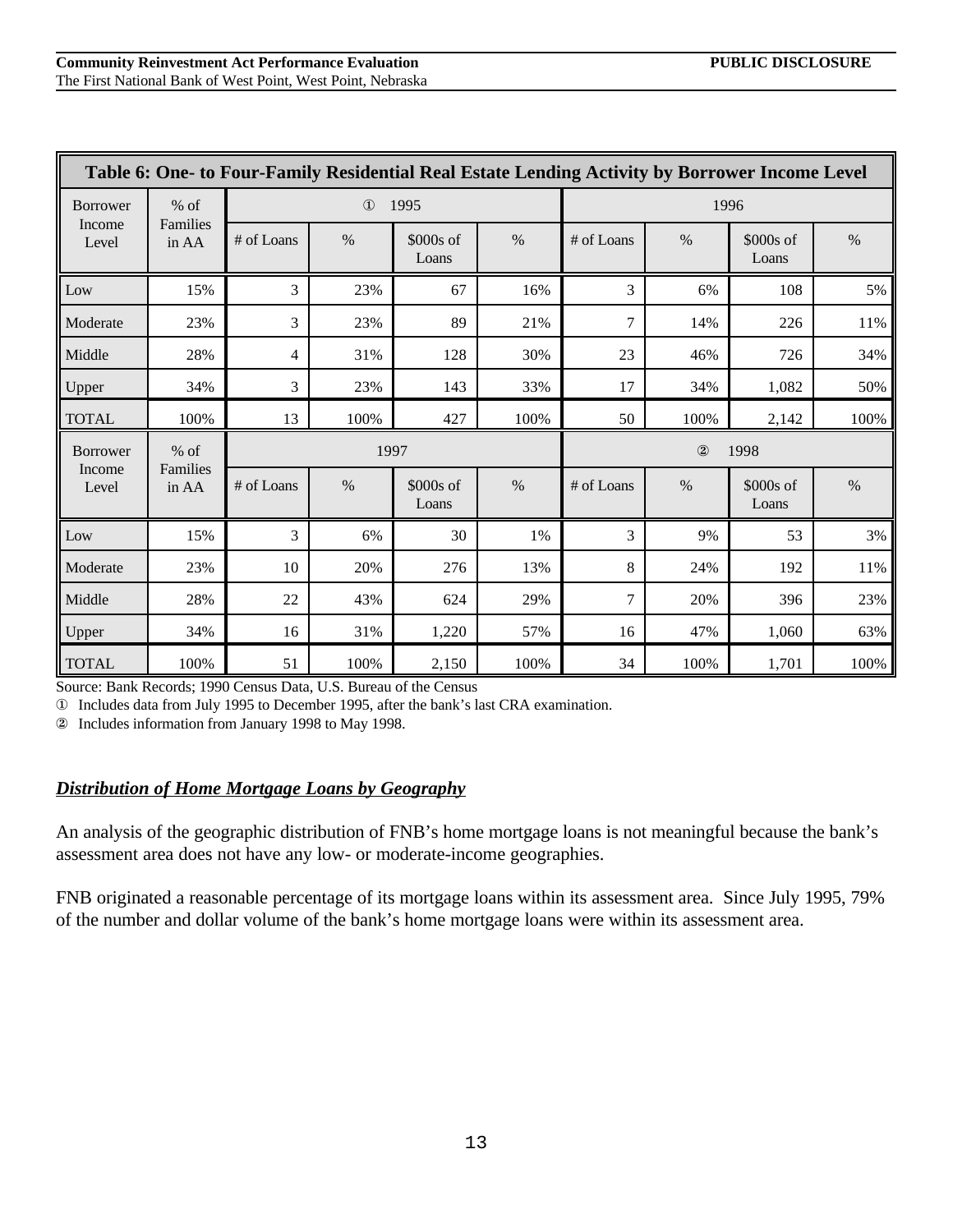|                 | Table 6: One- to Four-Family Residential Real Estate Lending Activity by Borrower Income Level |            |              |                     |      |                        |      |                    |      |  |  |  |
|-----------------|------------------------------------------------------------------------------------------------|------------|--------------|---------------------|------|------------------------|------|--------------------|------|--|--|--|
| <b>Borrower</b> | $%$ of                                                                                         |            | $\mathbf{D}$ | 1995                |      |                        | 1996 |                    |      |  |  |  |
| Income<br>Level | Families<br>in AA                                                                              | # of Loans | $\%$         | $$000s$ of<br>Loans | $\%$ | # of Loans             | $\%$ | \$000s of<br>Loans | $\%$ |  |  |  |
| Low             | 15%                                                                                            | 3          | 23%          | 67                  | 16%  | 3                      | 6%   | 108                | 5%   |  |  |  |
| Moderate        | 23%                                                                                            | 3          | 23%          | 89                  | 21%  | $\tau$                 | 14%  | 226                | 11%  |  |  |  |
| Middle          | 28%                                                                                            | 4          | 31%          | 128                 | 30%  | 23                     | 46%  | 726                | 34%  |  |  |  |
| Upper           | 34%                                                                                            | 3          | 23%          | 143                 | 33%  | 17                     | 34%  | 1,082              | 50%  |  |  |  |
| <b>TOTAL</b>    | 100%                                                                                           | 13         | 100%         | 427                 | 100% | 50                     | 100% | 2,142              | 100% |  |  |  |
| <b>Borrower</b> | $%$ of                                                                                         |            | 1997         |                     |      | $^{\circledR}$<br>1998 |      |                    |      |  |  |  |
| Income<br>Level | Families<br>in AA                                                                              | # of Loans | $\%$         | \$000s of<br>Loans  | $\%$ | # of Loans             | $\%$ | \$000s of<br>Loans | $\%$ |  |  |  |
| Low             | 15%                                                                                            | 3          | 6%           | 30                  | 1%   | 3                      | 9%   | 53                 | 3%   |  |  |  |
| Moderate        | 23%                                                                                            | 10         | 20%          | 276                 | 13%  | 8                      | 24%  | 192                | 11%  |  |  |  |
| Middle          | 28%                                                                                            | 22         | 43%          | 624                 | 29%  | $\tau$                 | 20%  | 396                | 23%  |  |  |  |
| Upper           | 34%                                                                                            | 16         | 31%          | 1,220               | 57%  | 16                     | 47%  | 1,060              | 63%  |  |  |  |
| <b>TOTAL</b>    | 100%                                                                                           | 51         | 100%         | 2,150               | 100% | 34                     | 100% | 1,701              | 100% |  |  |  |

Source: Bank Records; 1990 Census Data, U.S. Bureau of the Census

Œ Includes data from July 1995 to December 1995, after the bank's last CRA examination.

œ Includes information from January 1998 to May 1998.

### *Distribution of Home Mortgage Loans by Geography*

An analysis of the geographic distribution of FNB's home mortgage loans is not meaningful because the bank's assessment area does not have any low- or moderate-income geographies.

FNB originated a reasonable percentage of its mortgage loans within its assessment area. Since July 1995, 79% of the number and dollar volume of the bank's home mortgage loans were within its assessment area.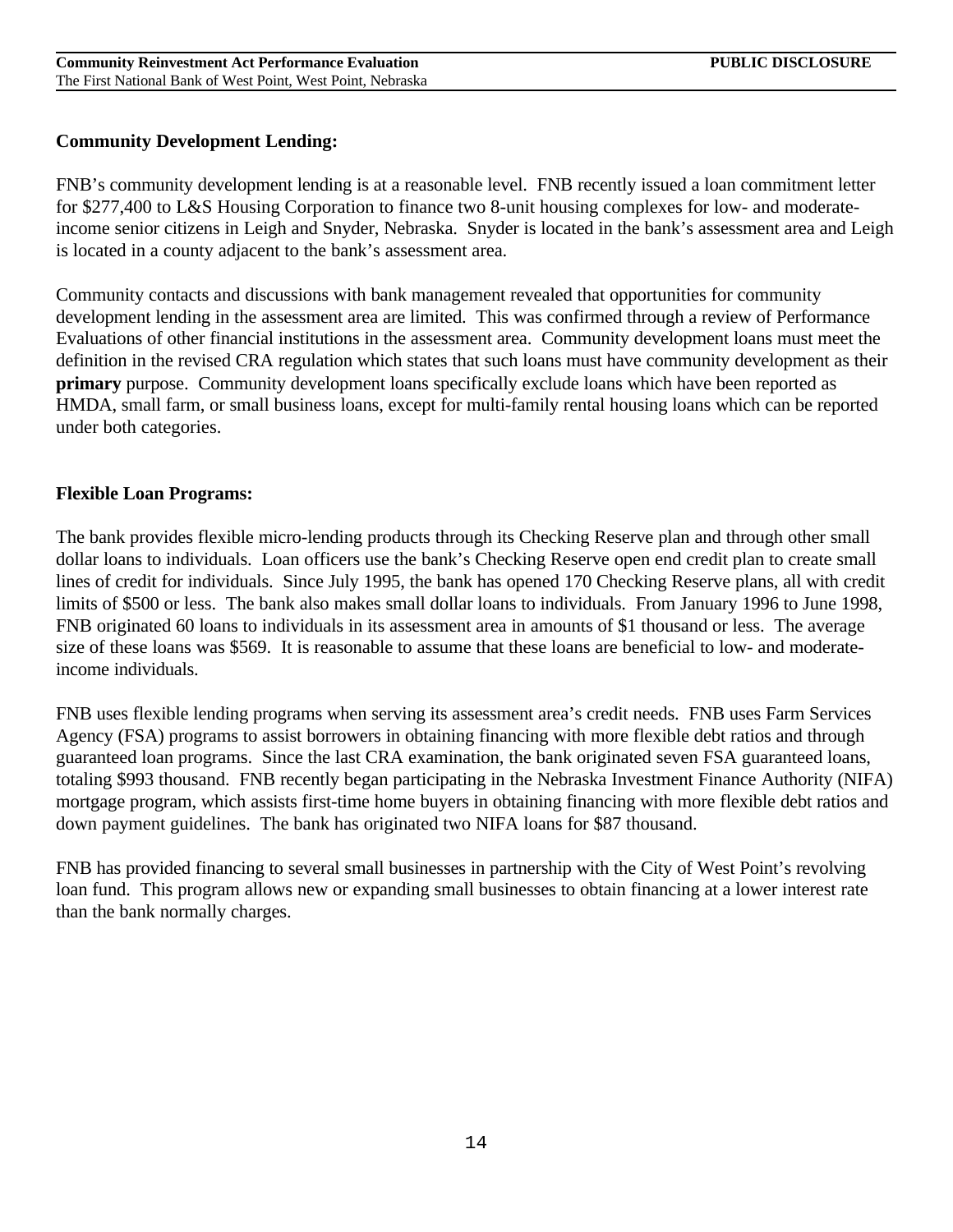### **Community Development Lending:**

FNB's community development lending is at a reasonable level. FNB recently issued a loan commitment letter for \$277,400 to L&S Housing Corporation to finance two 8-unit housing complexes for low- and moderateincome senior citizens in Leigh and Snyder, Nebraska. Snyder is located in the bank's assessment area and Leigh is located in a county adjacent to the bank's assessment area.

Community contacts and discussions with bank management revealed that opportunities for community development lending in the assessment area are limited. This was confirmed through a review of Performance Evaluations of other financial institutions in the assessment area. Community development loans must meet the definition in the revised CRA regulation which states that such loans must have community development as their **primary** purpose. Community development loans specifically exclude loans which have been reported as HMDA, small farm, or small business loans, except for multi-family rental housing loans which can be reported under both categories.

### **Flexible Loan Programs:**

The bank provides flexible micro-lending products through its Checking Reserve plan and through other small dollar loans to individuals. Loan officers use the bank's Checking Reserve open end credit plan to create small lines of credit for individuals. Since July 1995, the bank has opened 170 Checking Reserve plans, all with credit limits of \$500 or less. The bank also makes small dollar loans to individuals. From January 1996 to June 1998, FNB originated 60 loans to individuals in its assessment area in amounts of \$1 thousand or less. The average size of these loans was \$569. It is reasonable to assume that these loans are beneficial to low- and moderateincome individuals.

FNB uses flexible lending programs when serving its assessment area's credit needs. FNB uses Farm Services Agency (FSA) programs to assist borrowers in obtaining financing with more flexible debt ratios and through guaranteed loan programs. Since the last CRA examination, the bank originated seven FSA guaranteed loans, totaling \$993 thousand. FNB recently began participating in the Nebraska Investment Finance Authority (NIFA) mortgage program, which assists first-time home buyers in obtaining financing with more flexible debt ratios and down payment guidelines. The bank has originated two NIFA loans for \$87 thousand.

FNB has provided financing to several small businesses in partnership with the City of West Point's revolving loan fund. This program allows new or expanding small businesses to obtain financing at a lower interest rate than the bank normally charges.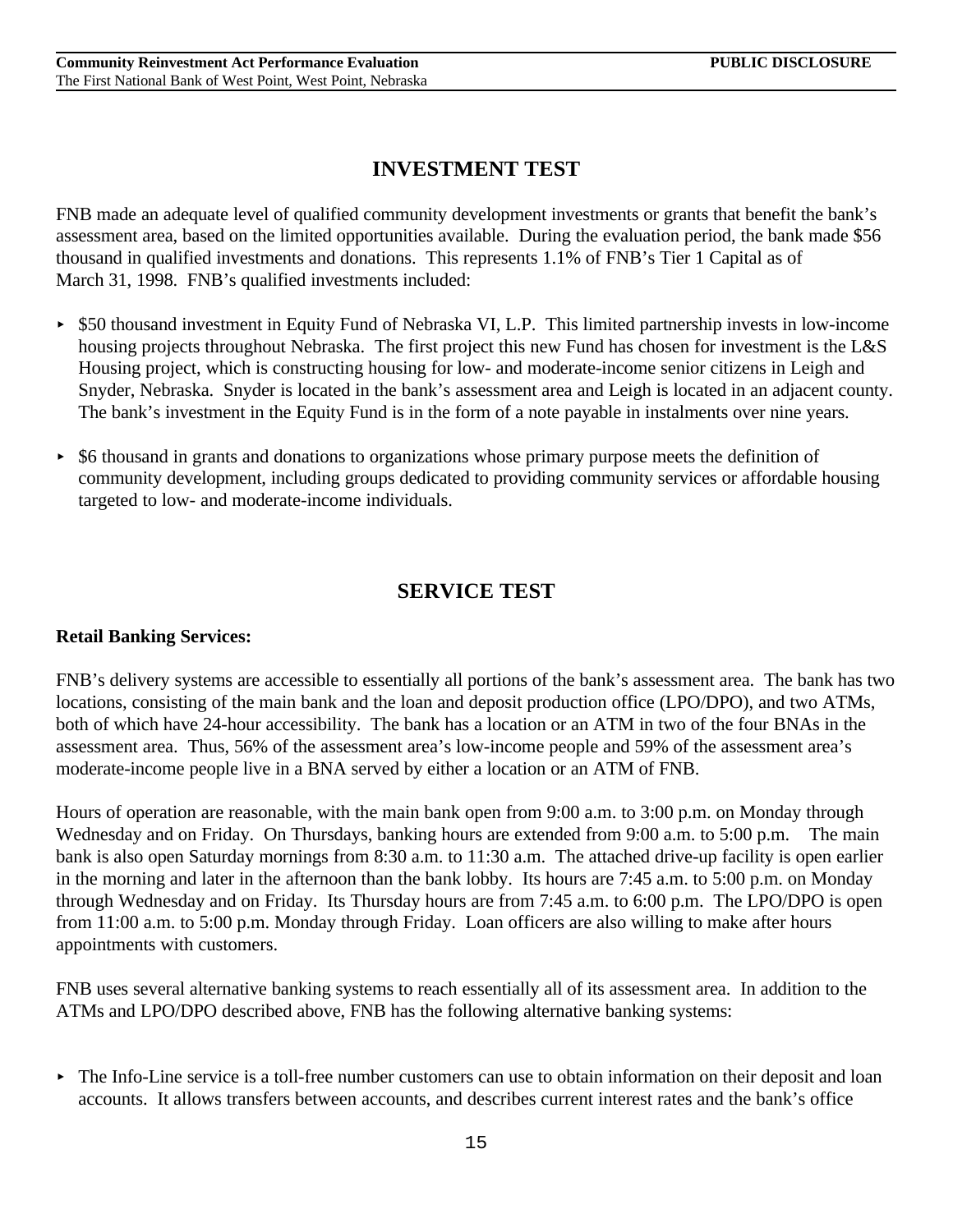## **INVESTMENT TEST**

FNB made an adequate level of qualified community development investments or grants that benefit the bank's assessment area, based on the limited opportunities available. During the evaluation period, the bank made \$56 thousand in qualified investments and donations. This represents 1.1% of FNB's Tier 1 Capital as of March 31, 1998. FNB's qualified investments included:

- < \$50 thousand investment in Equity Fund of Nebraska VI, L.P. This limited partnership invests in low-income housing projects throughout Nebraska. The first project this new Fund has chosen for investment is the L&S Housing project, which is constructing housing for low- and moderate-income senior citizens in Leigh and Snyder, Nebraska. Snyder is located in the bank's assessment area and Leigh is located in an adjacent county. The bank's investment in the Equity Fund is in the form of a note payable in instalments over nine years.
- $\triangleright$  \$6 thousand in grants and donations to organizations whose primary purpose meets the definition of community development, including groups dedicated to providing community services or affordable housing targeted to low- and moderate-income individuals.

## **SERVICE TEST**

### **Retail Banking Services:**

FNB's delivery systems are accessible to essentially all portions of the bank's assessment area. The bank has two locations, consisting of the main bank and the loan and deposit production office (LPO/DPO), and two ATMs, both of which have 24-hour accessibility. The bank has a location or an ATM in two of the four BNAs in the assessment area. Thus, 56% of the assessment area's low-income people and 59% of the assessment area's moderate-income people live in a BNA served by either a location or an ATM of FNB.

Hours of operation are reasonable, with the main bank open from 9:00 a.m. to 3:00 p.m. on Monday through Wednesday and on Friday. On Thursdays, banking hours are extended from 9:00 a.m. to 5:00 p.m. The main bank is also open Saturday mornings from 8:30 a.m. to 11:30 a.m. The attached drive-up facility is open earlier in the morning and later in the afternoon than the bank lobby. Its hours are 7:45 a.m. to 5:00 p.m. on Monday through Wednesday and on Friday. Its Thursday hours are from 7:45 a.m. to 6:00 p.m. The LPO/DPO is open from 11:00 a.m. to 5:00 p.m. Monday through Friday. Loan officers are also willing to make after hours appointments with customers.

FNB uses several alternative banking systems to reach essentially all of its assessment area. In addition to the ATMs and LPO/DPO described above, FNB has the following alternative banking systems:

• The Info-Line service is a toll-free number customers can use to obtain information on their deposit and loan accounts. It allows transfers between accounts, and describes current interest rates and the bank's office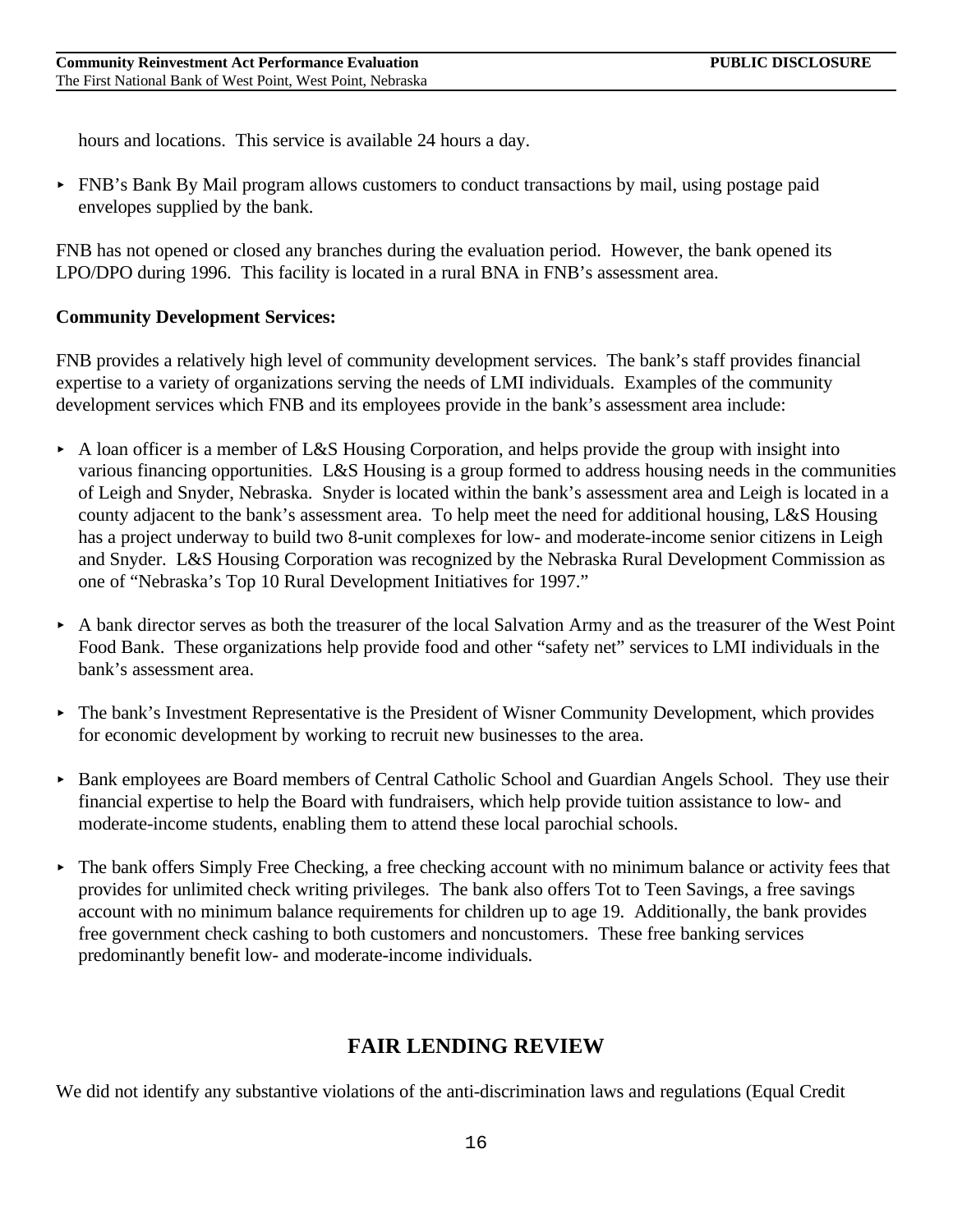hours and locations. This service is available 24 hours a day.

► FNB's Bank By Mail program allows customers to conduct transactions by mail, using postage paid envelopes supplied by the bank.

FNB has not opened or closed any branches during the evaluation period. However, the bank opened its LPO/DPO during 1996. This facility is located in a rural BNA in FNB's assessment area.

### **Community Development Services:**

FNB provides a relatively high level of community development services. The bank's staff provides financial expertise to a variety of organizations serving the needs of LMI individuals. Examples of the community development services which FNB and its employees provide in the bank's assessment area include:

- $\triangleright$  A loan officer is a member of L&S Housing Corporation, and helps provide the group with insight into various financing opportunities. L&S Housing is a group formed to address housing needs in the communities of Leigh and Snyder, Nebraska. Snyder is located within the bank's assessment area and Leigh is located in a county adjacent to the bank's assessment area. To help meet the need for additional housing, L&S Housing has a project underway to build two 8-unit complexes for low- and moderate-income senior citizens in Leigh and Snyder. L&S Housing Corporation was recognized by the Nebraska Rural Development Commission as one of "Nebraska's Top 10 Rural Development Initiatives for 1997."
- A bank director serves as both the treasurer of the local Salvation Army and as the treasurer of the West Point Food Bank. These organizations help provide food and other "safety net" services to LMI individuals in the bank's assessment area.
- ► The bank's Investment Representative is the President of Wisner Community Development, which provides for economic development by working to recruit new businesses to the area.
- ► Bank employees are Board members of Central Catholic School and Guardian Angels School. They use their financial expertise to help the Board with fundraisers, which help provide tuition assistance to low- and moderate-income students, enabling them to attend these local parochial schools.
- ► The bank offers Simply Free Checking, a free checking account with no minimum balance or activity fees that provides for unlimited check writing privileges. The bank also offers Tot to Teen Savings, a free savings account with no minimum balance requirements for children up to age 19. Additionally, the bank provides free government check cashing to both customers and noncustomers. These free banking services predominantly benefit low- and moderate-income individuals.

## **FAIR LENDING REVIEW**

We did not identify any substantive violations of the anti-discrimination laws and regulations (Equal Credit